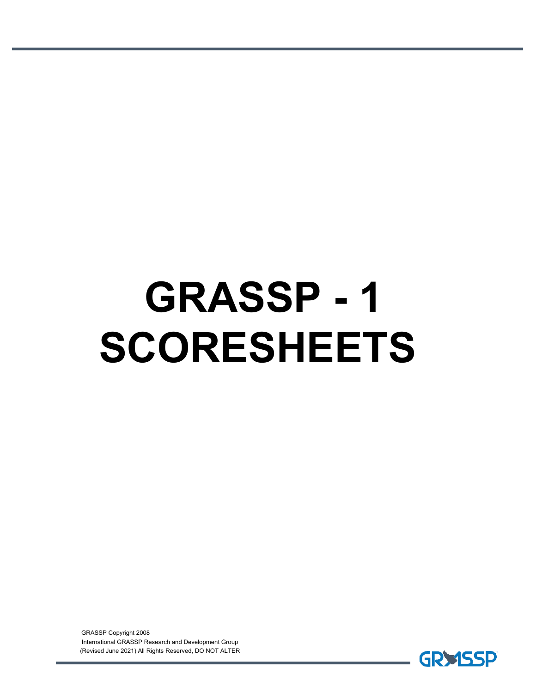# **GRASSP - 1 SCORESHEETS**

GRASSP Copyright 2008 International GRASSP Research and Development Group (Revised June 2021) All Rights Reserved, DO NOT ALTER

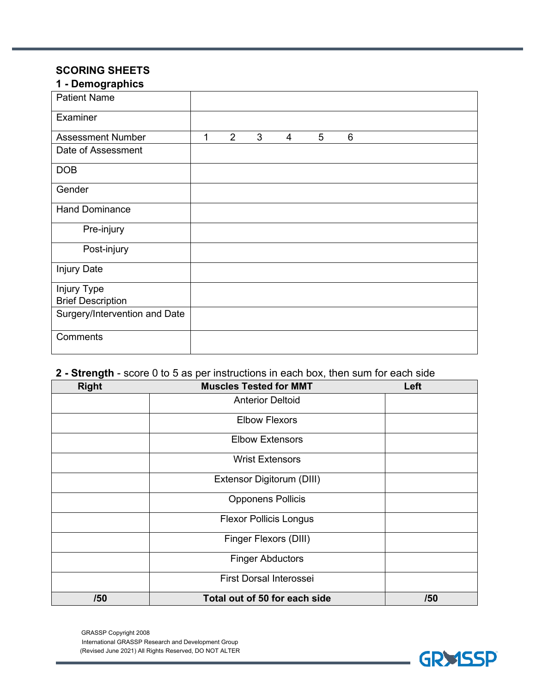#### **SCORING SHEETS 1 - Demographics**

| 1 - Demograpnics              |   |                |   |   |   |   |  |
|-------------------------------|---|----------------|---|---|---|---|--|
| <b>Patient Name</b>           |   |                |   |   |   |   |  |
| Examiner                      |   |                |   |   |   |   |  |
| <b>Assessment Number</b>      | 1 | $\overline{2}$ | 3 | 4 | 5 | 6 |  |
| Date of Assessment            |   |                |   |   |   |   |  |
| <b>DOB</b>                    |   |                |   |   |   |   |  |
| Gender                        |   |                |   |   |   |   |  |
| <b>Hand Dominance</b>         |   |                |   |   |   |   |  |
| Pre-injury                    |   |                |   |   |   |   |  |
| Post-injury                   |   |                |   |   |   |   |  |
| <b>Injury Date</b>            |   |                |   |   |   |   |  |
| Injury Type                   |   |                |   |   |   |   |  |
| <b>Brief Description</b>      |   |                |   |   |   |   |  |
| Surgery/Intervention and Date |   |                |   |   |   |   |  |
| Comments                      |   |                |   |   |   |   |  |

## **2 - Strength** - score 0 to 5 as per instructions in each box, then sum for each side

| <b>Right</b> | <b>Muscles Tested for MMT</b> | Left |
|--------------|-------------------------------|------|
|              | <b>Anterior Deltoid</b>       |      |
|              | <b>Elbow Flexors</b>          |      |
|              | <b>Elbow Extensors</b>        |      |
|              | <b>Wrist Extensors</b>        |      |
|              | Extensor Digitorum (DIII)     |      |
|              | <b>Opponens Pollicis</b>      |      |
|              | <b>Flexor Pollicis Longus</b> |      |
|              | Finger Flexors (DIII)         |      |
|              | <b>Finger Abductors</b>       |      |
|              | First Dorsal Interossei       |      |
| /50          | Total out of 50 for each side | /50  |

GRASSP Copyright 2008 International GRASSP Research and Development Group (Revised June 2021) All Rights Reserved, DO NOT ALTER

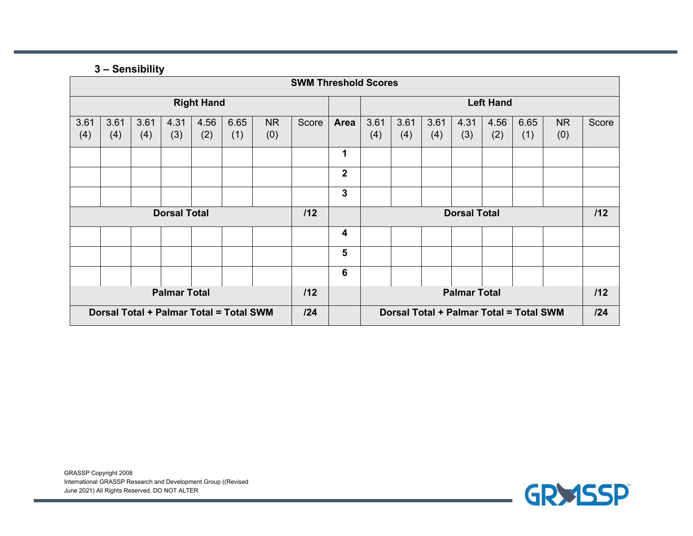#### **3 – Sensibility**

| <b>SWM Threshold Scores</b>             |             |             |                     |                     |                                         |                  |       |                         |             |             |             |             |             |             |           |       |
|-----------------------------------------|-------------|-------------|---------------------|---------------------|-----------------------------------------|------------------|-------|-------------------------|-------------|-------------|-------------|-------------|-------------|-------------|-----------|-------|
| <b>Right Hand</b>                       |             |             |                     |                     |                                         | <b>Left Hand</b> |       |                         |             |             |             |             |             |             |           |       |
| 3.61<br>(4)                             | 3.61<br>(4) | 3.61<br>(4) | 4.31<br>(3)         | 4.56<br>(2)         | 6.65<br>(1)                             | <b>NR</b><br>(0) | Score | Area                    | 3.61<br>(4) | 3.61<br>(4) | 3.61<br>(4) | 4.31<br>(3) | 4.56<br>(2) | 6.65<br>(1) | NR<br>(0) | Score |
|                                         |             |             |                     |                     |                                         |                  |       | 1                       |             |             |             |             |             |             |           |       |
|                                         |             |             |                     |                     |                                         |                  |       | $\overline{\mathbf{2}}$ |             |             |             |             |             |             |           |       |
|                                         |             |             |                     |                     |                                         |                  |       | 3                       |             |             |             |             |             |             |           |       |
| <b>Dorsal Total</b><br>112              |             |             |                     | <b>Dorsal Total</b> |                                         |                  |       | 112                     |             |             |             |             |             |             |           |       |
|                                         |             |             |                     |                     |                                         |                  |       | $\overline{\mathbf{4}}$ |             |             |             |             |             |             |           |       |
|                                         |             |             |                     |                     |                                         |                  |       | 5                       |             |             |             |             |             |             |           |       |
|                                         |             |             |                     |                     |                                         |                  |       | 6                       |             |             |             |             |             |             |           |       |
| <b>Palmar Total</b><br>112              |             |             | <b>Palmar Total</b> |                     |                                         |                  | 112   |                         |             |             |             |             |             |             |           |       |
| Dorsal Total + Palmar Total = Total SWM |             | 124         |                     |                     | Dorsal Total + Palmar Total = Total SWM |                  |       | 124                     |             |             |             |             |             |             |           |       |

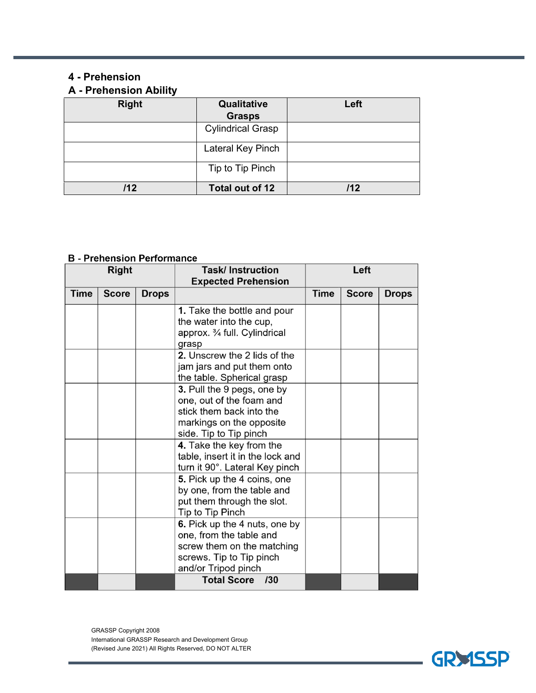#### **4 - Prehension**

## **A - Prehension Ability**

| <b>Right</b> | Qualitative              | Left |
|--------------|--------------------------|------|
|              | <b>Grasps</b>            |      |
|              | <b>Cylindrical Grasp</b> |      |
|              | Lateral Key Pinch        |      |
|              | Tip to Tip Pinch         |      |
| 112          | Total out of 12          | 112  |

#### **B** - Prehension Performance

| <b>Right</b> |              |              | <b>Task/Instruction</b><br><b>Expected Prehension</b>                                                                                     | Left        |              |              |
|--------------|--------------|--------------|-------------------------------------------------------------------------------------------------------------------------------------------|-------------|--------------|--------------|
| Time         | <b>Score</b> | <b>Drops</b> |                                                                                                                                           | <b>Time</b> | <b>Score</b> | <b>Drops</b> |
|              |              |              | <b>1.</b> Take the bottle and pour<br>the water into the cup,<br>approx. 3⁄4 full. Cylindrical<br>grasp                                   |             |              |              |
|              |              |              | 2. Unscrew the 2 lids of the<br>jam jars and put them onto<br>the table. Spherical grasp                                                  |             |              |              |
|              |              |              | 3. Pull the 9 pegs, one by<br>one, out of the foam and<br>stick them back into the<br>markings on the opposite<br>side. Tip to Tip pinch  |             |              |              |
|              |              |              | 4. Take the key from the<br>table, insert it in the lock and<br>turn it 90°. Lateral Key pinch                                            |             |              |              |
|              |              |              | 5. Pick up the 4 coins, one<br>by one, from the table and<br>put them through the slot.<br>Tip to Tip Pinch                               |             |              |              |
|              |              |              | 6. Pick up the 4 nuts, one by<br>one, from the table and<br>screw them on the matching<br>screws. Tip to Tip pinch<br>and/or Tripod pinch |             |              |              |
|              |              |              | Total Score /30                                                                                                                           |             |              |              |